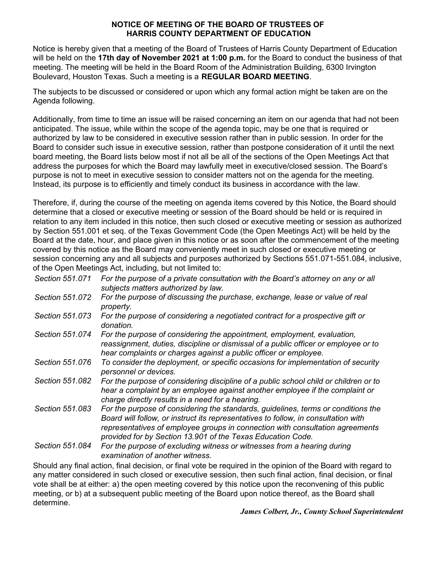#### **NOTICE OF MEETING OF THE BOARD OF TRUSTEES OF HARRIS COUNTY DEPARTMENT OF EDUCATION**

Notice is hereby given that a meeting of the Board of Trustees of Harris County Department of Education will be held on the **17th day of November 2021 at 1:00 p.m.** for the Board to conduct the business of that meeting. The meeting will be held in the Board Room of the Administration Building, 6300 Irvington Boulevard, Houston Texas. Such a meeting is a **REGULAR BOARD MEETING**.

The subjects to be discussed or considered or upon which any formal action might be taken are on the Agenda following.

Additionally, from time to time an issue will be raised concerning an item on our agenda that had not been anticipated. The issue, while within the scope of the agenda topic, may be one that is required or authorized by law to be considered in executive session rather than in public session. In order for the Board to consider such issue in executive session, rather than postpone consideration of it until the next board meeting, the Board lists below most if not all be all of the sections of the Open Meetings Act that address the purposes for which the Board may lawfully meet in executive/closed session. The Board's purpose is not to meet in executive session to consider matters not on the agenda for the meeting. Instead, its purpose is to efficiently and timely conduct its business in accordance with the law.

Therefore, if, during the course of the meeting on agenda items covered by this Notice, the Board should determine that a closed or executive meeting or session of the Board should be held or is required in relation to any item included in this notice, then such closed or executive meeting or session as authorized by Section 551.001 et seq. of the Texas Government Code (the Open Meetings Act) will be held by the Board at the date, hour, and place given in this notice or as soon after the commencement of the meeting covered by this notice as the Board may conveniently meet in such closed or executive meeting or session concerning any and all subjects and purposes authorized by Sections 551.071-551.084, inclusive, of the Open Meetings Act, including, but not limited to:

| Section 551.071 | For the purpose of a private consultation with the Board's attorney on any or all<br>subjects matters authorized by law.                                                                                                                                                                                                |
|-----------------|-------------------------------------------------------------------------------------------------------------------------------------------------------------------------------------------------------------------------------------------------------------------------------------------------------------------------|
| Section 551.072 | For the purpose of discussing the purchase, exchange, lease or value of real<br>property.                                                                                                                                                                                                                               |
| Section 551.073 | For the purpose of considering a negotiated contract for a prospective gift or<br>donation.                                                                                                                                                                                                                             |
| Section 551.074 | For the purpose of considering the appointment, employment, evaluation,<br>reassignment, duties, discipline or dismissal of a public officer or employee or to<br>hear complaints or charges against a public officer or employee.                                                                                      |
| Section 551,076 | To consider the deployment, or specific occasions for implementation of security<br>personnel or devices.                                                                                                                                                                                                               |
| Section 551,082 | For the purpose of considering discipline of a public school child or children or to<br>hear a complaint by an employee against another employee if the complaint or<br>charge directly results in a need for a hearing.                                                                                                |
| Section 551.083 | For the purpose of considering the standards, guidelines, terms or conditions the<br>Board will follow, or instruct its representatives to follow, in consultation with<br>representatives of employee groups in connection with consultation agreements<br>provided for by Section 13.901 of the Texas Education Code. |
| Section 551.084 | For the purpose of excluding witness or witnesses from a hearing during<br>examination of another witness.                                                                                                                                                                                                              |

Should any final action, final decision, or final vote be required in the opinion of the Board with regard to any matter considered in such closed or executive session, then such final action, final decision, or final vote shall be at either: a) the open meeting covered by this notice upon the reconvening of this public meeting, or b) at a subsequent public meeting of the Board upon notice thereof, as the Board shall determine.

*James Colbert, Jr., County School Superintendent*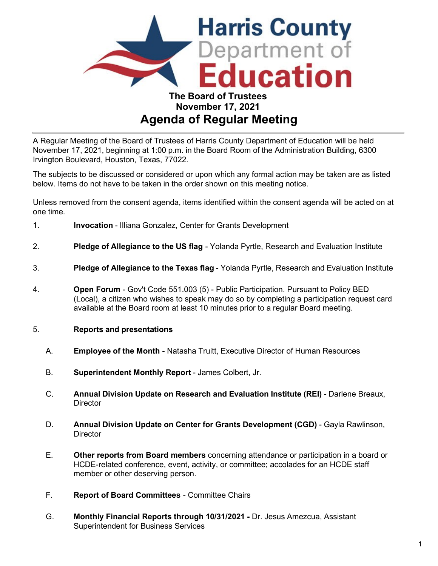

# **Agenda of Regular Meeting**

A Regular Meeting of the Board of Trustees of Harris County Department of Education will be held November 17, 2021, beginning at 1:00 p.m. in the Board Room of the Administration Building, 6300 Irvington Boulevard, Houston, Texas, 77022.

The subjects to be discussed or considered or upon which any formal action may be taken are as listed below. Items do not have to be taken in the order shown on this meeting notice.

Unless removed from the consent agenda, items identified within the consent agenda will be acted on at one time.

- 1. **Invocation** Illiana Gonzalez, Center for Grants Development
- 2. **Pledge of Allegiance to the US flag** Yolanda Pyrtle, Research and Evaluation Institute
- 3. **Pledge of Allegiance to the Texas flag** Yolanda Pyrtle, Research and Evaluation Institute
- 4. **Open Forum**  Gov't Code 551.003 (5) Public Participation. Pursuant to Policy BED (Local), a citizen who wishes to speak may do so by completing a participation request card available at the Board room at least 10 minutes prior to a regular Board meeting.

### 5. **Reports and presentations**

- A. **Employee of the Month** Natasha Truitt, Executive Director of Human Resources
- B. **Superintendent Monthly Report** James Colbert, Jr.
- C. **Annual Division Update on Research and Evaluation Institute (REI)** Darlene Breaux, **Director**
- D. **Annual Division Update on Center for Grants Development (CGD)** Gayla Rawlinson, **Director**
- E. **Other reports from Board members** concerning attendance or participation in a board or HCDE-related conference, event, activity, or committee; accolades for an HCDE staff member or other deserving person.
- F. **Report of Board Committees** Committee Chairs
- G. **Monthly Financial Reports through 10/31/2021** Dr. Jesus Amezcua, Assistant Superintendent for Business Services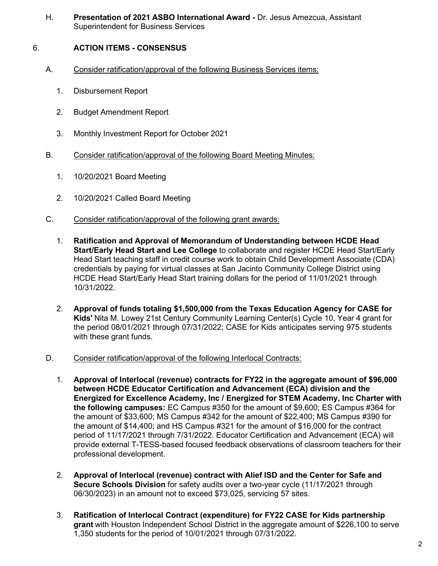H. **Presentation of 2021 ASBO International Award -** Dr. Jesus Amezcua, Assistant Superintendent for Business Services

# 6. **ACTION ITEMS - CONSENSUS**

- A. Consider ratification/approval of the following Business Services items:
	- 1. Disbursement Report
	- 2. Budget Amendment Report
	- 3. Monthly Investment Report for October 2021
- B. Consider ratification/approval of the following Board Meeting Minutes:
	- 1. 10/20/2021 Board Meeting
	- 2. 10/20/2021 Called Board Meeting
- C. Consider ratification/approval of the following grant awards:
	- 1. **Ratification and Approval of Memorandum of Understanding between HCDE Head Start/Early Head Start and Lee College** to collaborate and register HCDE Head Start/Early Head Start teaching staff in credit course work to obtain Child Development Associate (CDA) credentials by paying for virtual classes at San Jacinto Community College District using HCDE Head Start/Early Head Start training dollars for the period of 11/01/2021 through 10/31/2022.
	- 2. **Approval of funds totaling \$1,500,000 from the Texas Education Agency for CASE for Kids'** Nita M. Lowey 21st Century Community Learning Center(s) Cycle 10, Year 4 grant for the period 08/01/2021 through 07/31/2022; CASE for Kids anticipates serving 975 students with these grant funds.
- D. Consider ratification/approval of the following Interlocal Contracts:
	- 1. **Approval of Interlocal (revenue) contracts for FY22 in the aggregate amount of \$96,000 between HCDE Educator Certification and Advancement (ECA) division and the Energized for Excellence Academy, Inc / Energized for STEM Academy, Inc Charter with the following campuses:** EC Campus #350 for the amount of \$9,600; ES Campus #364 for the amount of \$33,600; MS Campus #342 for the amount of \$22,400; MS Campus #390 for the amount of \$14,400; and HS Campus #321 for the amount of \$16,000 for the contract period of 11/17/2021 through 7/31/2022. Educator Certification and Advancement (ECA) will provide external T-TESS-based focused feedback observations of classroom teachers for their professional development.
	- 2. **Approval of Interlocal (revenue) contract with Alief ISD and the Center for Safe and Secure Schools Division** for safety audits over a two-year cycle (11/17/2021 through 06/30/2023) in an amount not to exceed \$73,025, servicing 57 sites.
	- 3. **Ratification of Interlocal Contract (expenditure) for FY22 CASE for Kids partnership grant** with Houston Independent School District in the aggregate amount of \$226,100 to serve 1,350 students for the period of 10/01/2021 through 07/31/2022.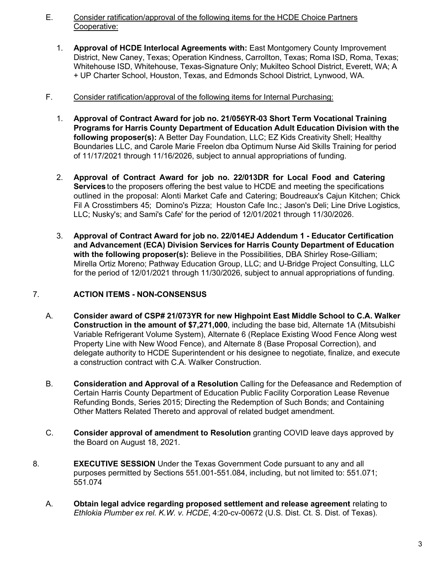## E. Consider ratification/approval of the following items for the HCDE Choice Partners Cooperative:

1. **Approval of HCDE Interlocal Agreements with:** East Montgomery County Improvement District, New Caney, Texas; Operation Kindness, Carrollton, Texas; Roma ISD, Roma, Texas; Whitehouse ISD, Whitehouse, Texas-Signature Only; Mukilteo School District, Everett, WA; A + UP Charter School, Houston, Texas, and Edmonds School District, Lynwood, WA.

## F. Consider ratification/approval of the following items for Internal Purchasing:

- 1. **Approval of Contract Award for job no. 21/056YR-03 Short Term Vocational Training Programs for Harris County Department of Education Adult Education Division with the following proposer(s):** A Better Day Foundation, LLC; EZ Kids Creativity Shell; Healthy Boundaries LLC, and Carole Marie Freelon dba Optimum Nurse Aid Skills Training for period of 11/17/2021 through 11/16/2026, subject to annual appropriations of funding.
- 2. **Approval of Contract Award for job no. 22/013DR for Local Food and Catering Services** to the proposers offering the best value to HCDE and meeting the specifications outlined in the proposal: Alonti Market Cafe and Catering; Boudreaux's Cajun Kitchen; Chick Fil A Crosstimbers 45; Domino's Pizza; Houston Cafe Inc.; Jason's Deli; Line Drive Logistics, LLC; Nusky's; and Sami's Cafe' for the period of 12/01/2021 through 11/30/2026.
- 3. **Approval of Contract Award for job no. 22/014EJ Addendum 1 Educator Certification and Advancement (ECA) Division Services for Harris County Department of Education with the following proposer(s):** Believe in the Possibilities, DBA Shirley Rose-Gilliam; Mirella Ortiz Moreno; Pathway Education Group, LLC; and U-Bridge Project Consulting, LLC for the period of 12/01/2021 through 11/30/2026, subject to annual appropriations of funding.

# 7. **ACTION ITEMS - NON-CONSENSUS**

- A. **Consider award of CSP# 21/073YR for new Highpoint East Middle School to C.A. Walker Construction in the amount of \$7,271,000**, including the base bid, Alternate 1A (Mitsubishi Variable Refrigerant Volume System), Alternate 6 (Replace Existing Wood Fence Along west Property Line with New Wood Fence), and Alternate 8 (Base Proposal Correction), and delegate authority to HCDE Superintendent or his designee to negotiate, finalize, and execute a construction contract with C.A. Walker Construction.
- B. **Consideration and Approval of a Resolution** Calling for the Defeasance and Redemption of Certain Harris County Department of Education Public Facility Corporation Lease Revenue Refunding Bonds, Series 2015; Directing the Redemption of Such Bonds; and Containing Other Matters Related Thereto and approval of related budget amendment.
- C. **Consider approval of amendment to Resolution** granting COVID leave days approved by the Board on August 18, 2021.
- 8. **EXECUTIVE SESSION** Under the Texas Government Code pursuant to any and all purposes permitted by Sections 551.001-551.084, including, but not limited to: 551.071; 551.074
	- A. **Obtain legal advice regarding proposed settlement and release agreement** relating to *Ethlokia Plumber ex rel. K.W. v. HCDE*, 4:20-cv-00672 (U.S. Dist. Ct. S. Dist. of Texas).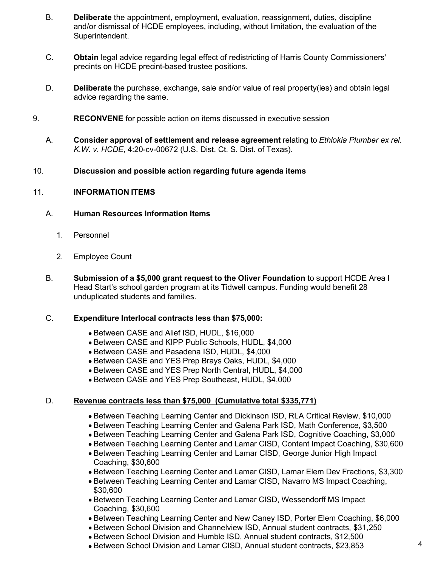- B. **Deliberate** the appointment, employment, evaluation, reassignment, duties, discipline and/or dismissal of HCDE employees, including, without limitation, the evaluation of the Superintendent.
- C. **Obtain** legal advice regarding legal effect of redistricting of Harris County Commissioners' precints on HCDE precint-based trustee positions.
- D. **Deliberate** the purchase, exchange, sale and/or value of real property(ies) and obtain legal advice regarding the same.
- 9. **RECONVENE** for possible action on items discussed in executive session
	- A. **Consider approval of settlement and release agreement** relating to *Ethlokia Plumber ex rel. K.W. v. HCDE*, 4:20-cv-00672 (U.S. Dist. Ct. S. Dist. of Texas).
- 10. **Discussion and possible action regarding future agenda items**

## 11. **INFORMATION ITEMS**

### A. **Human Resources Information Items**

- 1. Personnel
- 2. Employee Count
- B. **Submission of a \$5,000 grant request to the Oliver Foundation** to support HCDE Area I Head Start's school garden program at its Tidwell campus. Funding would benefit 28 unduplicated students and families.

### C. **Expenditure Interlocal contracts less than \$75,000:**

- Between CASE and Alief ISD, HUDL, \$16,000
- Between CASE and KIPP Public Schools, HUDL, \$4,000
- Between CASE and Pasadena ISD, HUDL, \$4,000
- Between CASE and YES Prep Brays Oaks, HUDL, \$4,000
- Between CASE and YES Prep North Central, HUDL, \$4,000
- Between CASE and YES Prep Southeast, HUDL, \$4,000

# D. **Revenue contracts less than \$75,000 (Cumulative total \$335,771)**

- Between Teaching Learning Center and Dickinson ISD, RLA Critical Review, \$10,000
- Between Teaching Learning Center and Galena Park ISD, Math Conference, \$3,500
- Between Teaching Learning Center and Galena Park ISD, Cognitive Coaching, \$3,000
- Between Teaching Learning Center and Lamar CISD, Content Impact Coaching, \$30,600
- Between Teaching Learning Center and Lamar CISD, George Junior High Impact Coaching, \$30,600
- Between Teaching Learning Center and Lamar CISD, Lamar Elem Dev Fractions, \$3,300
- Between Teaching Learning Center and Lamar CISD, Navarro MS Impact Coaching, \$30,600
- Between Teaching Learning Center and Lamar CISD, Wessendorff MS Impact Coaching, \$30,600
- Between Teaching Learning Center and New Caney ISD, Porter Elem Coaching, \$6,000
- Between School Division and Channelview ISD, Annual student contracts, \$31,250
- Between School Division and Humble ISD, Annual student contracts, \$12,500
- Between School Division and Lamar CISD, Annual student contracts, \$23,853